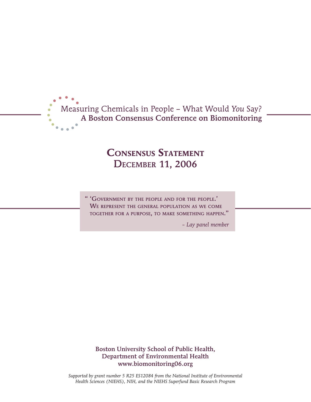

# **Consensus Statement** December 11, 2006

" 'Government by the people and for the people.' We represent the general population as we come together for <sup>a</sup> purpose, to make something happen."

*– Lay panel member*

Boston University School of Public Health, Department of Environmental Health www.biomonitoring06.org

*Supported by grant number 5 R25 ES12084 from the National Institute of Environmental Health Sciences (NIEHS), NIH, and the NIEHS Superfund Basic Research Program*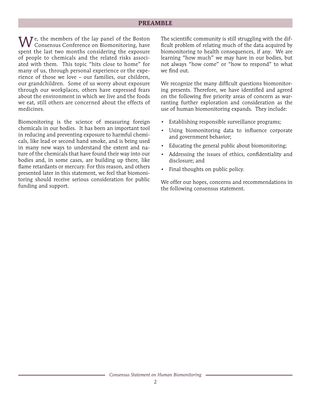#### **PREAMBLE**

 $\bigvee$ e, the members of the lay panel of the Boston Consensus Conference on Biomonitoring, have spent the last two months considering the exposure of people to chemicals and the related risks associated with them. This topic "hits close to home" for many of us, through personal experience or the experience of those we love – our families, our children, our grandchildren. Some of us worry about exposure through our workplaces, others have expressed fears about the environment in which we live and the foods we eat, still others are concerned about the effects of medicines.

Biomonitoring is the science of measuring foreign chemicals in our bodies. It has been an important tool in reducing and preventing exposure to harmful chemicals, like lead or second hand smoke, and is being used in many new ways to understand the extent and nature of the chemicals that have found their way into our bodies and, in some cases, are building up there, like flame retardants or mercury. For this reason, and others presented later in this statement, we feel that biomonitoring should receive serious consideration for public funding and support.

The scientific community is still struggling with the difficult problem of relating much of the data acquired by biomonitoring to health consequences, if any. We are learning "how much" we may have in our bodies, but not always "how come" or "how to respond" to what we find out.

We recognize the many difficult questions biomonitoring presents. Therefore, we have identified and agreed on the following five priority areas of concern as warranting further exploration and consideration as the use of human biomonitoring expands. They include:

- Establishing responsible surveillance programs;
- Using biomonitoring data to influence corporate and government behavior;
- Educating the general public about biomonitoring;
- Addressing the issues of ethics, confidentiality and disclosure; and
- Final thoughts on public policy.

We offer our hopes, concerns and recommendations in the following consensus statement.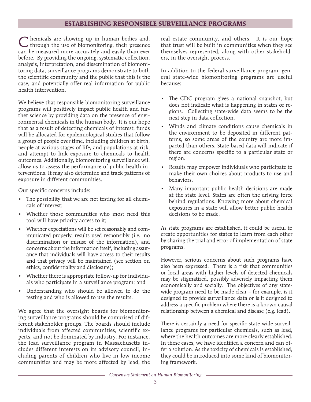### **ESTABLISHING RESPONSIBLE SURVEILLANCE PROGRAMS**

C hemicals are showing up in human bodies and, through the use of biomonitoring, their presence can be measured more accurately and easily than ever before. By providing the ongoing, systematic collection, analysis, interpretation, and dissemination of biomonitoring data, surveillance programs demonstrate to both the scientific community and the public that this is the case, and potentially offer real information for public health intervention.

We believe that responsible biomonitoring surveillance programs will positively impact public health and further science by providing data on the presence of environmental chemicals in the human body. It is our hope that as a result of detecting chemicals of interest, funds will be allocated for epidemiological studies that follow a group of people over time, including children at birth, people at various stages of life, and populations at risk, and attempt to link exposure to chemicals to health outcomes. Additionally, biomonitoring surveillance will allow us to assess the performance of public health interventions. It may also determine and track patterns of exposure in different communities.

Our specific concerns include:

- The possibility that we are not testing for all chemicals of interest;
- Whether those communities who most need this tool will have priority access to it;
- Whether expectations will be set reasonably and communicated properly, results used responsibly (i.e., no discrimination or misuse of the information), and concerns about the information itself, including assurance that individuals will have access to their results and that privacy will be maintained (see section on ethics, confidentiality and disclosure);
- Whether there is appropriate follow-up for individuals who participate in a surveillance program; and
- Understanding who should be allowed to do the testing and who is allowed to use the results.

We agree that the oversight boards for biomonitoring surveillance programs should be comprised of different stakeholder groups. The boards should include individuals from affected communities, scientific experts, and not be dominated by industry. For instance, the lead surveillance program in Massachusetts includes different interests on its advisory council, including parents of children who live in low income communities and may be more affected by lead, the

real estate community, and others. It is our hope that trust will be built in communities when they see themselves represented, along with other stakeholders, in the oversight process.

In addition to the federal surveillance program, general state-wide biomonitoring programs are useful because:

- The CDC program gives a national snapshot, but does not indicate what is happening in states or regions. Collecting state-wide data seems to be the next step in data collection.
- Winds and climate conditions cause chemicals in the environment to be deposited in different patterns, so some areas of the country are more impacted than others. State-based data will indicate if there are concerns specific to a particular state or region.
- Results may empower individuals who participate to make their own choices about products to use and behaviors.
- Many important public health decisions are made at the state level. States are often the driving force behind regulations. Knowing more about chemical exposures in a state will allow better public health decisions to be made.

As state programs are established, it could be useful to create opportunities for states to learn from each other by sharing the trial and error of implementation of state programs.

However, serious concerns about such programs have also been expressed. There is a risk that communities or local areas with higher levels of detected chemicals may be stigmatized, possibly adversely impacting them economically and socially. The objectives of any statewide program need to be made clear – for example, is it designed to provide surveillance data or is it designed to address a specific problem where there is a known causal relationship between a chemical and disease (e.g. lead).

There is certainly a need for specific state-wide surveillance programs for particular chemicals, such as lead, where the health outcomes are more clearly established. In these cases, we have identified a concern and can offer a solution. As the toxicity of chemicals is established, they could be introduced into some kind of biomonitoring framework.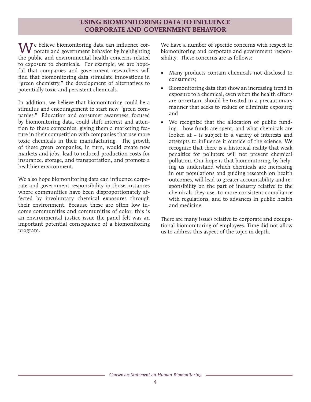# **USING BIOMONITORING DATA TO INFLUENCE CORPORATE AND GOVERNMENT BEHAVIOR**

 $\bigvee\!\!\!J$ e believe biomonitoring data can influence corporate and government behavior by highlighting the public and environmental health concerns related to exposure to chemicals. For example, we are hopeful that companies and government researchers will find that biomonitoring data stimulate innovations in "green chemistry," the development of alternatives to potentially toxic and persistent chemicals.

In addition, we believe that biomonitoring could be a stimulus and encouragement to start new "green companies." Education and consumer awareness, focused by biomonitoring data, could shift interest and attention to these companies, giving them a marketing feature in their competition with companies that use more toxic chemicals in their manufacturing. The growth of these green companies, in turn, would create new markets and jobs, lead to reduced production costs for insurance, storage, and transportation, and promote a healthier environment.

We also hope biomonitoring data can influence corporate and government responsibility in those instances where communities have been disproportionately affected by involuntary chemical exposures through their environment. Because these are often low income communities and communities of color, this is an environmental justice issue the panel felt was an important potential consequence of a biomonitoring program.

We have a number of specific concerns with respect to biomonitoring and corporate and government responsibility. These concerns are as follows:

- Many products contain chemicals not disclosed to consumers;
- Biomonitoring data that show an increasing trend in exposure to a chemical, even when the health effects are uncertain, should be treated in a precautionary manner that seeks to reduce or eliminate exposure; and
- We recognize that the allocation of public funding – how funds are spent, and what chemicals are looked at – is subject to a variety of interests and attempts to influence it outside of the science. We recognize that there is a historical reality that weak penalties for polluters will not prevent chemical pollution. Our hope is that biomonitoring, by helping us understand which chemicals are increasing in our populations and guiding research on health outcomes, will lead to greater accountability and responsibility on the part of industry relative to the chemicals they use, to more consistent compliance with regulations, and to advances in public health and medicine.

There are many issues relative to corporate and occupational biomonitoring of employees. Time did not allow us to address this aspect of the topic in depth.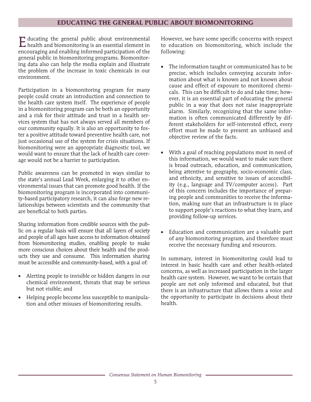## **EDUCATING THE GENERAL PUBLIC ABOUT BIOMONITORING**

Educating the general public about environmental health and biomonitoring is an essential element in encouraging and enabling informed participation of the general public in biomonitoring programs. Biomonitoring data also can help the media explain and illustrate the problem of the increase in toxic chemicals in our environment.

Participation in a biomonitoring program for many people could create an introduction and connection to the health care system itself. The experience of people in a biomonitoring program can be both an opportunity and a risk for their attitude and trust in a health services system that has not always served all members of our community equally. It is also an opportunity to foster a positive attitude toward preventive health care, not just occasional use of the system for crisis situations. If biomonitoring were an appropriate diagnostic tool, we would want to ensure that the lack of health care coverage would not be a barrier to participation.

Public awareness can be promoted in ways similar to the state's annual Lead Week, enlarging it to other environmental issues that can promote good health. If the biomonitoring program is incorporated into community-based participatory research, it can also forge new relationships between scientists and the community that are beneficial to both parties.

Sharing information from credible sources with the public on a regular basis will ensure that all layers of society and people of all ages have access to information obtained from biomonitoring studies, enabling people to make more conscious choices about their health and the products they use and consume. This information sharing must be accessible and community-based, with a goal of:

- Alerting people to invisible or hidden dangers in our chemical environment, threats that may be serious but not visible; and
- Helping people become less susceptible to manipulation and other misuses of biomonitoring results.

However, we have some specific concerns with respect to education on biomonitoring, which include the following:

- The information taught or communicated has to be precise, which includes conveying accurate information about what is known and not known about cause and effect of exposure to monitored chemicals. This can be difficult to do and take time; however, it is an essential part of educating the general public in a way that does not raise inappropriate alarm. Similarly, recognizing that the same information is often communicated differently by different stakeholders for self-interested effect, every effort must be made to present an unbiased and objective review of the facts.
- With a goal of reaching populations most in need of this information, we would want to make sure there is broad outreach, education, and communication, being attentive to geography, socio-economic class, and ethnicity, and sensitive to issues of accessibility (e.g., language and TV/computer access). Part of this concern includes the importance of preparing people and communities to receive the information, making sure that an infrastructure is in place to support people's reactions to what they learn, and providing follow-up services.
- Education and communication are a valuable part of any biomonitoring program, and therefore must receive the necessary funding and resources.

In summary, interest in biomonitoring could lead to interest in basic health care and other health-related concerns, as well as increased participation in the larger health care system. However, we want to be certain that people are not only informed and educated, but that there is an infrastructure that allows them a voice and the opportunity to participate in decisions about their health.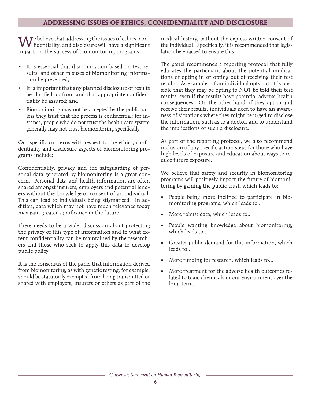## **ADDRESSING ISSUES OF ETHICS, CONFIDENTIALITY AND DISCLOSURE**

We believe that addressing the issues of ethics, con-<br>fidentiality, and disclosure will have a significant impact on the success of biomonitoring programs.

- It is essential that discrimination based on test results, and other misuses of biomonitoring information be prevented;
- It is important that any planned disclosure of results be clarified up front and that appropriate confidentiality be assured; and
- Biomonitoring may not be accepted by the public unless they trust that the process is confidential; for instance, people who do not trust the health care system generally may not trust biomonitoring specifically.

Our specific concerns with respect to the ethics, confidentiality and disclosure aspects of biomonitoring programs include:

Confidentiality, privacy and the safeguarding of personal data generated by biomonitoring is a great concern. Personal data and health information are often shared amongst insurers, employers and potential lenders without the knowledge or consent of an individual. This can lead to individuals being stigmatized. In addition, data which may not have much relevance today may gain greater significance in the future.

There needs to be a wider discussion about protecting the privacy of this type of information and to what extent confidentiality can be maintained by the researchers and those who seek to apply this data to develop public policy.

It is the consensus of the panel that information derived from biomonitoring, as with genetic testing, for example, should be statutorily exempted from being transmitted or shared with employers, insurers or others as part of the

medical history, without the express written consent of the individual. Specifically, it is recommended that legislation be enacted to ensure this.

The panel recommends a reporting protocol that fully educates the participant about the potential implications of opting in or opting out of receiving their test results. As examples, if an individual opts out, it is possible that they may be opting to NOT be told their test results, even if the results have potential adverse health consequences. On the other hand, if they opt in and receive their results, individuals need to have an awareness of situations where they might be urged to disclose the information, such as to a doctor, and to understand the implications of such a disclosure.

As part of the reporting protocol, we also recommend inclusion of any specific action steps for those who have high levels of exposure and education about ways to reduce future exposure.

We believe that safety and security in biomonitoring programs will positively impact the future of biomonitoring by gaining the public trust, which leads to:

- People being more inclined to participate in biomonitoring programs, which leads to…
- More robust data, which leads to...
- • People wanting knowledge about biomonitoring, which leads to…
- Greater public demand for this information, which leads to…
- More funding for research, which leads to...
- More treatment for the adverse health outcomes related to toxic chemicals in our environment over the long-term.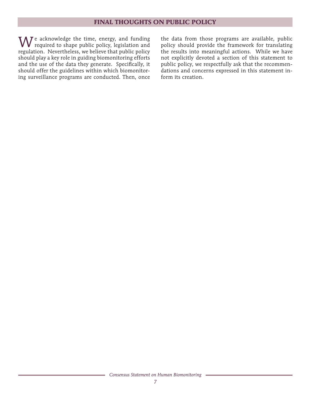#### **FINAL THOUGHTS ON PUBLIC POLICY**

W e acknowledge the time, energy, and funding required to shape public policy, legislation and regulation. Nevertheless, we believe that public policy should play a key role in guiding biomonitoring efforts and the use of the data they generate. Specifically, it should offer the guidelines within which biomonitoring surveillance programs are conducted. Then, once

the data from those programs are available, public policy should provide the framework for translating the results into meaningful actions. While we have not explicitly devoted a section of this statement to public policy, we respectfully ask that the recommendations and concerns expressed in this statement inform its creation.